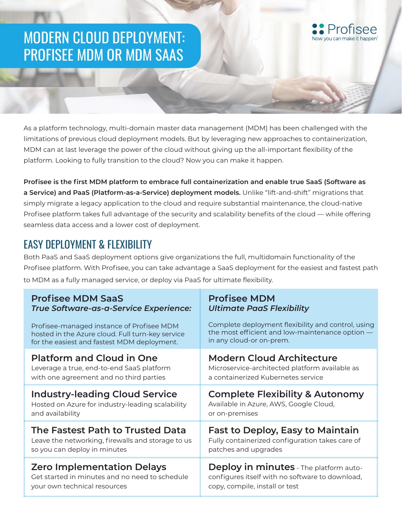## MODERN CLOUD DEPLOYMENT: PROFISEE MDM OR MDM SAAS

As a platform technology, multi-domain master data management (MDM) has been challenged with the limitations of previous cloud deployment models. But by leveraging new approaches to containerization, MDM can at last leverage the power of the cloud without giving up the all-important flexibility of the platform. Looking to fully transition to the cloud? Now you can make it happen.

**Profisee is the first MDM platform to embrace full containerization and enable true SaaS (Software as a Service) and PaaS (Platform-as-a-Service) deployment models.** Unlike "lift-and-shift" migrations that simply migrate a legacy application to the cloud and require substantial maintenance, the cloud-native Profisee platform takes full advantage of the security and scalability benefits of the cloud — while offering seamless data access and a lower cost of deployment.

## EASY DEPLOYMENT & FLEXIBILITY

Both PaaS and SaaS deployment options give organizations the full, multidomain functionality of the Profisee platform. With Profisee, you can take advantage a SaaS deployment for the easiest and fastest path to MDM as a fully managed service, or deploy via PaaS for ultimate flexibility.

| <b>Profisee MDM SaaS</b>                          | <b>Profisee MDM</b>                                |  |
|---------------------------------------------------|----------------------------------------------------|--|
| True Software-as-a-Service Experience:            | <b>Ultimate PaaS Flexibility</b>                   |  |
| Profisee-managed instance of Profisee MDM         | Complete deployment flexibility and control, using |  |
| hosted in the Azure cloud. Full turn-key service  | the most efficient and low-maintenance option -    |  |
| for the easiest and fastest MDM deployment.       | in any cloud-or on-prem.                           |  |
| <b>Platform and Cloud in One</b>                  | <b>Modern Cloud Architecture</b>                   |  |
| Leverage a true, end-to-end SaaS platform         | Microservice-architected platform available as     |  |
| with one agreement and no third parties           | a containerized Kubernetes service                 |  |
| <b>Industry-leading Cloud Service</b>             | <b>Complete Flexibility &amp; Autonomy</b>         |  |
| Hosted on Azure for industry-leading scalability  | Available in Azure, AWS, Google Cloud,             |  |
| and availability                                  | or on-premises                                     |  |
| The Fastest Path to Trusted Data                  | <b>Fast to Deploy, Easy to Maintain</b>            |  |
| Leave the networking, firewalls and storage to us | Fully containerized configuration takes care of    |  |
| so you can deploy in minutes                      | patches and upgrades                               |  |
| <b>Zero Implementation Delays</b>                 | Deploy in minutes - The platform auto-             |  |
| Get started in minutes and no need to schedule    | configures itself with no software to download,    |  |
| your own technical resources                      | copy, compile, install or test                     |  |